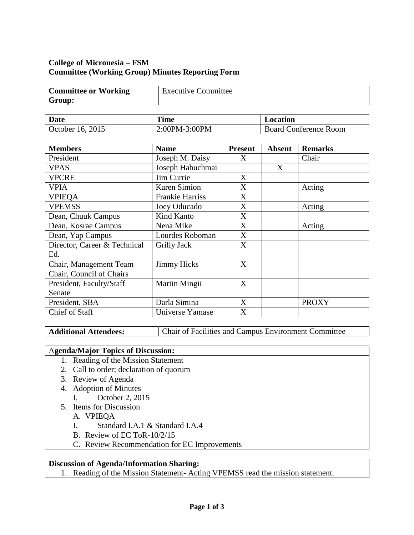# **College of Micronesia – FSM Committee (Working Group) Minutes Reporting Form**

| <b>Committee or Working</b> | Executive Committee |
|-----------------------------|---------------------|
| Group:                      |                     |

| <b>Date</b>      | <b>Time</b>   | Location                     |
|------------------|---------------|------------------------------|
| October 16, 2015 | 2:00PM-3:00PM | <b>Board Conference Room</b> |

| <b>Members</b>               | <b>Name</b>        | <b>Present</b> | <b>Absent</b> | <b>Remarks</b> |
|------------------------------|--------------------|----------------|---------------|----------------|
| President                    | Joseph M. Daisy    | X              |               | Chair          |
| <b>VPAS</b>                  | Joseph Habuchmai   |                | X             |                |
| <b>VPCRE</b>                 | Jim Currie         | X              |               |                |
| <b>VPIA</b>                  | Karen Simion       | X              |               | Acting         |
| <b>VPIEQA</b>                | Frankie Harriss    | X              |               |                |
| <b>VPEMSS</b>                | Joey Oducado       | X              |               | Acting         |
| Dean, Chuuk Campus           | Kind Kanto         | X              |               |                |
| Dean, Kosrae Campus          | Nena Mike          | X              |               | Acting         |
| Dean, Yap Campus             | Lourdes Roboman    | X              |               |                |
| Director, Career & Technical | <b>Grilly Jack</b> | X              |               |                |
| Ed.                          |                    |                |               |                |
| Chair, Management Team       | <b>Jimmy Hicks</b> | X              |               |                |
| Chair, Council of Chairs     |                    |                |               |                |
| President, Faculty/Staff     | Martin Mingii      | X              |               |                |
| Senate                       |                    |                |               |                |
| President, SBA               | Darla Simina       | X              |               | <b>PROXY</b>   |
| <b>Chief of Staff</b>        | Universe Yamase    | X              |               |                |

Additional Attendees: Chair of Facilities and Campus Environment Committee

## A**genda/Major Topics of Discussion:**

- 1. Reading of the Mission Statement
- 2. Call to order; declaration of quorum
- 3. Review of Agenda
- 4. Adoption of Minutes
	- I. October 2, 2015
- 5. Items for Discussion
	- A. VPIEQA
	- I. Standard I.A.1 & Standard I.A.4
	- B. Review of EC ToR-10/2/15
	- C. Review Recommendation for EC Improvements

#### **Discussion of Agenda/Information Sharing:**

1. Reading of the Mission Statement- Acting VPEMSS read the mission statement.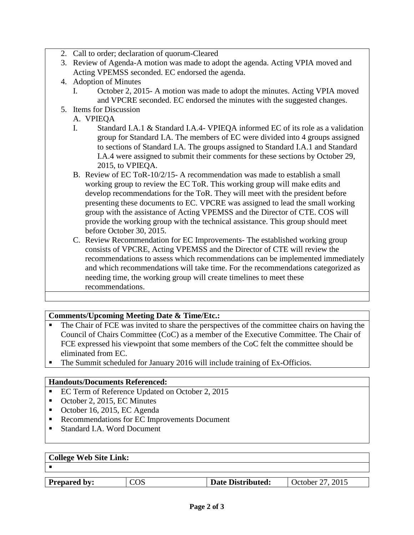- 2. Call to order; declaration of quorum-Cleared
- 3. Review of Agenda-A motion was made to adopt the agenda. Acting VPIA moved and Acting VPEMSS seconded. EC endorsed the agenda.
- 4. Adoption of Minutes
	- I. October 2, 2015- A motion was made to adopt the minutes. Acting VPIA moved and VPCRE seconded. EC endorsed the minutes with the suggested changes.
- 5. Items for Discussion
	- A. VPIEQA
	- I. Standard I.A.1 & Standard I.A.4- VPIEQA informed EC of its role as a validation group for Standard I.A. The members of EC were divided into 4 groups assigned to sections of Standard I.A. The groups assigned to Standard I.A.1 and Standard I.A.4 were assigned to submit their comments for these sections by October 29, 2015, to VPIEQA.
	- B. Review of EC ToR-10/2/15- A recommendation was made to establish a small working group to review the EC ToR. This working group will make edits and develop recommendations for the ToR. They will meet with the president before presenting these documents to EC. VPCRE was assigned to lead the small working group with the assistance of Acting VPEMSS and the Director of CTE. COS will provide the working group with the technical assistance. This group should meet before October 30, 2015.
	- C. Review Recommendation for EC Improvements- The established working group consists of VPCRE, Acting VPEMSS and the Director of CTE will review the recommendations to assess which recommendations can be implemented immediately and which recommendations will take time. For the recommendations categorized as needing time, the working group will create timelines to meet these recommendations.

#### **Comments/Upcoming Meeting Date & Time/Etc.:**

- The Chair of FCE was invited to share the perspectives of the committee chairs on having the Council of Chairs Committee (CoC) as a member of the Executive Committee. The Chair of FCE expressed his viewpoint that some members of the CoC felt the committee should be eliminated from EC.
- The Summit scheduled for January 2016 will include training of Ex-Officios.

#### **Handouts/Documents Referenced:**

- EC Term of Reference Updated on October 2, 2015
- October 2, 2015, EC Minutes
- October 16, 2015, EC Agenda
- Recommendations for EC Improvements Document
- Standard I.A. Word Document

| <b>College Web Site Link:</b> |  |  |
|-------------------------------|--|--|
|                               |  |  |

| <b>COS</b><br>Date Distributed:<br><b>Prepared by:</b> | October 27, 2015 |
|--------------------------------------------------------|------------------|
|--------------------------------------------------------|------------------|